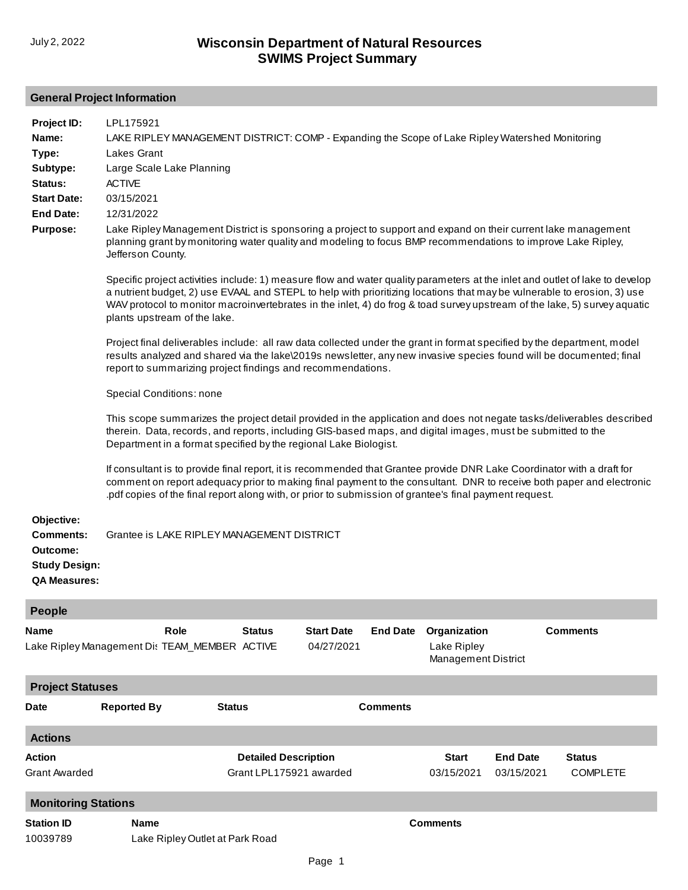## **General Project Information**

| Project ID:<br>Name:<br>Type:<br>Subtype:<br>Status:<br><b>Start Date:</b><br><b>End Date:</b><br><b>Purpose:</b> | LPL175921<br>LAKE RIPLEY MANAGEMENT DISTRICT: COMP - Expanding the Scope of Lake Ripley Watershed Monitoring<br>Lakes Grant<br>Large Scale Lake Planning<br><b>ACTIVE</b><br>03/15/2021<br>12/31/2022<br>Lake Ripley Management District is sponsoring a project to support and expand on their current lake management<br>planning grant by monitoring water quality and modeling to focus BMP recommendations to improve Lake Ripley,<br>Jefferson County.<br>Specific project activities include: 1) measure flow and water quality parameters at the inlet and outlet of lake to develop<br>a nutrient budget, 2) use EVAAL and STEPL to help with prioritizing locations that may be vulnerable to erosion, 3) use<br>WAV protocol to monitor macroinvertebrates in the inlet, 4) do frog & toad survey upstream of the lake, 5) survey aquatic<br>plants upstream of the lake.<br>Project final deliverables include: all raw data collected under the grant in format specified by the department, model<br>results analyzed and shared via the lake\2019s newsletter, any new invasive species found will be documented; final<br>report to summarizing project findings and recommendations.<br>Special Conditions: none<br>This scope summarizes the project detail provided in the application and does not negate tasks/deliverables described<br>therein. Data, records, and reports, including GIS-based maps, and digital images, must be submitted to the<br>Department in a format specified by the regional Lake Biologist.<br>If consultant is to provide final report, it is recommended that Grantee provide DNR Lake Coordinator with a draft for<br>comment on report adequacy prior to making final payment to the consultant. DNR to receive both paper and electronic<br>pdf copies of the final report along with, or prior to submission of grantee's final payment request. |                                                        |                                 |                 |                                                    |                               |                                  |
|-------------------------------------------------------------------------------------------------------------------|----------------------------------------------------------------------------------------------------------------------------------------------------------------------------------------------------------------------------------------------------------------------------------------------------------------------------------------------------------------------------------------------------------------------------------------------------------------------------------------------------------------------------------------------------------------------------------------------------------------------------------------------------------------------------------------------------------------------------------------------------------------------------------------------------------------------------------------------------------------------------------------------------------------------------------------------------------------------------------------------------------------------------------------------------------------------------------------------------------------------------------------------------------------------------------------------------------------------------------------------------------------------------------------------------------------------------------------------------------------------------------------------------------------------------------------------------------------------------------------------------------------------------------------------------------------------------------------------------------------------------------------------------------------------------------------------------------------------------------------------------------------------------------------------------------------------------------------------------------------------------------------------------------|--------------------------------------------------------|---------------------------------|-----------------|----------------------------------------------------|-------------------------------|----------------------------------|
| Objective:<br><b>Comments:</b><br>Outcome:<br><b>Study Design:</b><br><b>QA Measures:</b>                         | Grantee is LAKE RIPLEY MANAGEMENT DISTRICT                                                                                                                                                                                                                                                                                                                                                                                                                                                                                                                                                                                                                                                                                                                                                                                                                                                                                                                                                                                                                                                                                                                                                                                                                                                                                                                                                                                                                                                                                                                                                                                                                                                                                                                                                                                                                                                               |                                                        |                                 |                 |                                                    |                               |                                  |
| <b>People</b>                                                                                                     |                                                                                                                                                                                                                                                                                                                                                                                                                                                                                                                                                                                                                                                                                                                                                                                                                                                                                                                                                                                                                                                                                                                                                                                                                                                                                                                                                                                                                                                                                                                                                                                                                                                                                                                                                                                                                                                                                                          |                                                        |                                 |                 |                                                    |                               |                                  |
| Name                                                                                                              | Role<br>Lake Ripley Management Dis TEAM_MEMBER ACTIVE                                                                                                                                                                                                                                                                                                                                                                                                                                                                                                                                                                                                                                                                                                                                                                                                                                                                                                                                                                                                                                                                                                                                                                                                                                                                                                                                                                                                                                                                                                                                                                                                                                                                                                                                                                                                                                                    | <b>Status</b>                                          | <b>Start Date</b><br>04/27/2021 | <b>End Date</b> | Organization<br>Lake Ripley<br>Management District |                               | <b>Comments</b>                  |
| <b>Project Statuses</b>                                                                                           |                                                                                                                                                                                                                                                                                                                                                                                                                                                                                                                                                                                                                                                                                                                                                                                                                                                                                                                                                                                                                                                                                                                                                                                                                                                                                                                                                                                                                                                                                                                                                                                                                                                                                                                                                                                                                                                                                                          |                                                        |                                 |                 |                                                    |                               |                                  |
| Date                                                                                                              | <b>Reported By</b>                                                                                                                                                                                                                                                                                                                                                                                                                                                                                                                                                                                                                                                                                                                                                                                                                                                                                                                                                                                                                                                                                                                                                                                                                                                                                                                                                                                                                                                                                                                                                                                                                                                                                                                                                                                                                                                                                       | <b>Status</b>                                          |                                 | <b>Comments</b> |                                                    |                               |                                  |
| <b>Actions</b>                                                                                                    |                                                                                                                                                                                                                                                                                                                                                                                                                                                                                                                                                                                                                                                                                                                                                                                                                                                                                                                                                                                                                                                                                                                                                                                                                                                                                                                                                                                                                                                                                                                                                                                                                                                                                                                                                                                                                                                                                                          |                                                        |                                 |                 |                                                    |                               |                                  |
| Action<br>Grant Awarded                                                                                           |                                                                                                                                                                                                                                                                                                                                                                                                                                                                                                                                                                                                                                                                                                                                                                                                                                                                                                                                                                                                                                                                                                                                                                                                                                                                                                                                                                                                                                                                                                                                                                                                                                                                                                                                                                                                                                                                                                          | <b>Detailed Description</b><br>Grant LPL175921 awarded |                                 |                 | <b>Start</b><br>03/15/2021                         | <b>End Date</b><br>03/15/2021 | <b>Status</b><br><b>COMPLETE</b> |
| <b>Monitoring Stations</b>                                                                                        |                                                                                                                                                                                                                                                                                                                                                                                                                                                                                                                                                                                                                                                                                                                                                                                                                                                                                                                                                                                                                                                                                                                                                                                                                                                                                                                                                                                                                                                                                                                                                                                                                                                                                                                                                                                                                                                                                                          |                                                        |                                 |                 |                                                    |                               |                                  |
| <b>Station ID</b><br>10039789                                                                                     | <b>Name</b><br>Lake Ripley Outlet at Park Road                                                                                                                                                                                                                                                                                                                                                                                                                                                                                                                                                                                                                                                                                                                                                                                                                                                                                                                                                                                                                                                                                                                                                                                                                                                                                                                                                                                                                                                                                                                                                                                                                                                                                                                                                                                                                                                           |                                                        |                                 |                 | <b>Comments</b>                                    |                               |                                  |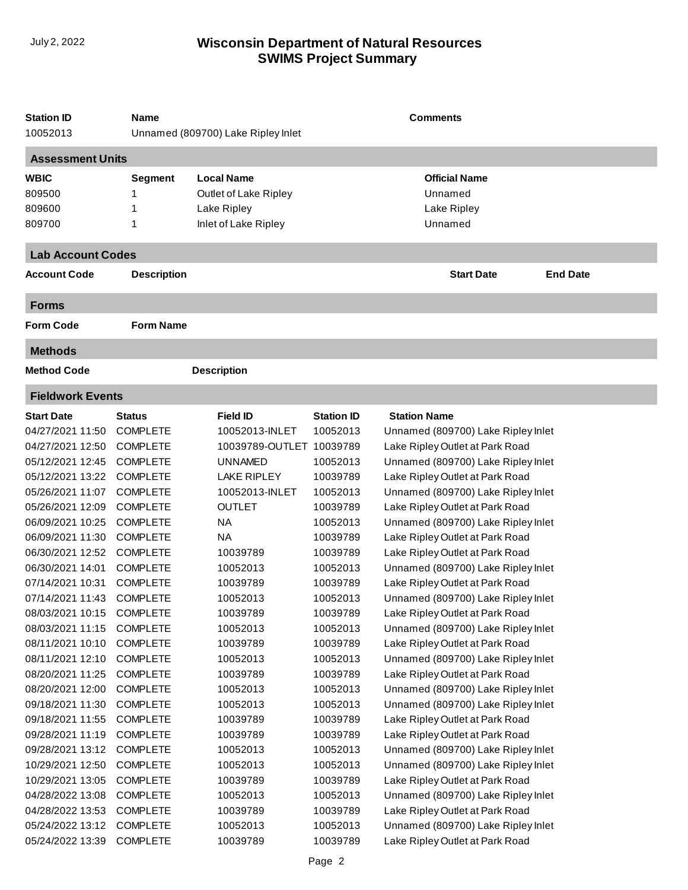## **SWIMS Project Summary** July 2, 2022 **Wisconsin Department of Natural Resources**

| <b>Assessment Units</b><br><b>Local Name</b><br><b>Official Name</b><br><b>Segment</b><br>Outlet of Lake Ripley<br>Unnamed<br>Lake Ripley<br>Lake Ripley<br>Inlet of Lake Ripley<br>Unnamed<br>1<br><b>Lab Account Codes</b><br><b>End Date</b><br><b>Description</b><br><b>Start Date</b><br>Account Code<br><b>Forms</b><br><b>Form Code</b><br><b>Form Name</b><br><b>Methods</b><br><b>Method Code</b><br><b>Description</b><br><b>Fieldwork Events</b><br><b>Station ID</b><br><b>Start Date</b><br><b>Field ID</b><br><b>Station Name</b><br><b>Status</b><br><b>COMPLETE</b><br>10052013-INLET<br>10052013<br>Unnamed (809700) Lake Ripley Inlet<br><b>COMPLETE</b><br>10039789-OUTLET 10039789<br>Lake Ripley Outlet at Park Road<br><b>COMPLETE</b><br><b>UNNAMED</b><br>10052013<br>Unnamed (809700) Lake Ripley Inlet<br><b>COMPLETE</b><br><b>LAKE RIPLEY</b><br>10039789<br>Lake Ripley Outlet at Park Road<br><b>COMPLETE</b><br>10052013-INLET<br>10052013<br>Unnamed (809700) Lake Ripley Inlet<br><b>COMPLETE</b><br><b>OUTLET</b><br>10039789<br>Lake Ripley Outlet at Park Road<br><b>COMPLETE</b><br>ΝA<br>10052013<br>Unnamed (809700) Lake Ripley Inlet<br><b>COMPLETE</b><br><b>NA</b><br>Lake Ripley Outlet at Park Road<br>10039789<br><b>COMPLETE</b><br>10039789<br>10039789<br>Lake Ripley Outlet at Park Road<br><b>COMPLETE</b><br>10052013<br>10052013<br>Unnamed (809700) Lake Ripley Inlet<br>07/14/2021 10:31<br><b>COMPLETE</b><br>10039789<br>10039789<br>Lake Ripley Outlet at Park Road<br><b>COMPLETE</b><br>Unnamed (809700) Lake Ripley Inlet<br>10052013<br>10052013<br>Lake Ripley Outlet at Park Road<br>08/03/2021 10:15<br><b>COMPLETE</b><br>10039789<br>10039789<br>08/03/2021 11:15<br><b>COMPLETE</b><br>10052013<br>10052013<br>Unnamed (809700) Lake Ripley Inlet<br>08/11/2021 10:10<br><b>COMPLETE</b><br>10039789<br>10039789<br>Lake Ripley Outlet at Park Road<br>08/11/2021 12:10<br><b>COMPLETE</b><br>10052013<br>Unnamed (809700) Lake Ripley Inlet<br>10052013<br>Lake Ripley Outlet at Park Road<br>08/20/2021 11:25<br><b>COMPLETE</b><br>10039789<br>10039789<br>08/20/2021 12:00<br><b>COMPLETE</b><br>10052013<br>10052013<br>Unnamed (809700) Lake Ripley Inlet<br>09/18/2021 11:30<br><b>COMPLETE</b><br>Unnamed (809700) Lake Ripley Inlet<br>10052013<br>10052013<br>09/18/2021 11:55<br><b>COMPLETE</b><br>Lake Ripley Outlet at Park Road<br>10039789<br>10039789<br>09/28/2021 11:19<br><b>COMPLETE</b><br>10039789<br>Lake Ripley Outlet at Park Road<br>10039789<br>09/28/2021 13:12<br><b>COMPLETE</b><br>10052013<br>10052013<br>Unnamed (809700) Lake Ripley Inlet<br>10/29/2021 12:50<br><b>COMPLETE</b><br>10052013<br>Unnamed (809700) Lake Ripley Inlet<br>10052013<br>10/29/2021 13:05<br><b>COMPLETE</b><br>10039789<br>Lake Ripley Outlet at Park Road<br>10039789<br>04/28/2022 13:08<br><b>COMPLETE</b><br>10052013<br>10052013<br>Unnamed (809700) Lake Ripley Inlet<br>04/28/2022 13:53<br><b>COMPLETE</b><br>10039789<br>10039789<br>Lake Ripley Outlet at Park Road<br>05/24/2022 13:12<br><b>COMPLETE</b><br>Unnamed (809700) Lake Ripley Inlet<br>10052013<br>10052013<br>05/24/2022 13:39<br><b>COMPLETE</b><br>Lake Ripley Outlet at Park Road<br>10039789<br>10039789 | <b>Station ID</b><br>10052013             | Name | Unnamed (809700) Lake Ripley Inlet | <b>Comments</b> |  |  |  |
|------------------------------------------------------------------------------------------------------------------------------------------------------------------------------------------------------------------------------------------------------------------------------------------------------------------------------------------------------------------------------------------------------------------------------------------------------------------------------------------------------------------------------------------------------------------------------------------------------------------------------------------------------------------------------------------------------------------------------------------------------------------------------------------------------------------------------------------------------------------------------------------------------------------------------------------------------------------------------------------------------------------------------------------------------------------------------------------------------------------------------------------------------------------------------------------------------------------------------------------------------------------------------------------------------------------------------------------------------------------------------------------------------------------------------------------------------------------------------------------------------------------------------------------------------------------------------------------------------------------------------------------------------------------------------------------------------------------------------------------------------------------------------------------------------------------------------------------------------------------------------------------------------------------------------------------------------------------------------------------------------------------------------------------------------------------------------------------------------------------------------------------------------------------------------------------------------------------------------------------------------------------------------------------------------------------------------------------------------------------------------------------------------------------------------------------------------------------------------------------------------------------------------------------------------------------------------------------------------------------------------------------------------------------------------------------------------------------------------------------------------------------------------------------------------------------------------------------------------------------------------------------------------------------------------------------------------------------------------------------------------------------------------------------------------------------------------------------------------------------------------------------------------------------------------------------------------------------------------------------------------------------------|-------------------------------------------|------|------------------------------------|-----------------|--|--|--|
|                                                                                                                                                                                                                                                                                                                                                                                                                                                                                                                                                                                                                                                                                                                                                                                                                                                                                                                                                                                                                                                                                                                                                                                                                                                                                                                                                                                                                                                                                                                                                                                                                                                                                                                                                                                                                                                                                                                                                                                                                                                                                                                                                                                                                                                                                                                                                                                                                                                                                                                                                                                                                                                                                                                                                                                                                                                                                                                                                                                                                                                                                                                                                                                                                                                                        |                                           |      |                                    |                 |  |  |  |
|                                                                                                                                                                                                                                                                                                                                                                                                                                                                                                                                                                                                                                                                                                                                                                                                                                                                                                                                                                                                                                                                                                                                                                                                                                                                                                                                                                                                                                                                                                                                                                                                                                                                                                                                                                                                                                                                                                                                                                                                                                                                                                                                                                                                                                                                                                                                                                                                                                                                                                                                                                                                                                                                                                                                                                                                                                                                                                                                                                                                                                                                                                                                                                                                                                                                        | <b>WBIC</b><br>809500<br>809600<br>809700 |      |                                    |                 |  |  |  |
|                                                                                                                                                                                                                                                                                                                                                                                                                                                                                                                                                                                                                                                                                                                                                                                                                                                                                                                                                                                                                                                                                                                                                                                                                                                                                                                                                                                                                                                                                                                                                                                                                                                                                                                                                                                                                                                                                                                                                                                                                                                                                                                                                                                                                                                                                                                                                                                                                                                                                                                                                                                                                                                                                                                                                                                                                                                                                                                                                                                                                                                                                                                                                                                                                                                                        |                                           |      |                                    |                 |  |  |  |
|                                                                                                                                                                                                                                                                                                                                                                                                                                                                                                                                                                                                                                                                                                                                                                                                                                                                                                                                                                                                                                                                                                                                                                                                                                                                                                                                                                                                                                                                                                                                                                                                                                                                                                                                                                                                                                                                                                                                                                                                                                                                                                                                                                                                                                                                                                                                                                                                                                                                                                                                                                                                                                                                                                                                                                                                                                                                                                                                                                                                                                                                                                                                                                                                                                                                        |                                           |      |                                    |                 |  |  |  |
|                                                                                                                                                                                                                                                                                                                                                                                                                                                                                                                                                                                                                                                                                                                                                                                                                                                                                                                                                                                                                                                                                                                                                                                                                                                                                                                                                                                                                                                                                                                                                                                                                                                                                                                                                                                                                                                                                                                                                                                                                                                                                                                                                                                                                                                                                                                                                                                                                                                                                                                                                                                                                                                                                                                                                                                                                                                                                                                                                                                                                                                                                                                                                                                                                                                                        |                                           |      |                                    |                 |  |  |  |
|                                                                                                                                                                                                                                                                                                                                                                                                                                                                                                                                                                                                                                                                                                                                                                                                                                                                                                                                                                                                                                                                                                                                                                                                                                                                                                                                                                                                                                                                                                                                                                                                                                                                                                                                                                                                                                                                                                                                                                                                                                                                                                                                                                                                                                                                                                                                                                                                                                                                                                                                                                                                                                                                                                                                                                                                                                                                                                                                                                                                                                                                                                                                                                                                                                                                        |                                           |      |                                    |                 |  |  |  |
|                                                                                                                                                                                                                                                                                                                                                                                                                                                                                                                                                                                                                                                                                                                                                                                                                                                                                                                                                                                                                                                                                                                                                                                                                                                                                                                                                                                                                                                                                                                                                                                                                                                                                                                                                                                                                                                                                                                                                                                                                                                                                                                                                                                                                                                                                                                                                                                                                                                                                                                                                                                                                                                                                                                                                                                                                                                                                                                                                                                                                                                                                                                                                                                                                                                                        |                                           |      |                                    |                 |  |  |  |
|                                                                                                                                                                                                                                                                                                                                                                                                                                                                                                                                                                                                                                                                                                                                                                                                                                                                                                                                                                                                                                                                                                                                                                                                                                                                                                                                                                                                                                                                                                                                                                                                                                                                                                                                                                                                                                                                                                                                                                                                                                                                                                                                                                                                                                                                                                                                                                                                                                                                                                                                                                                                                                                                                                                                                                                                                                                                                                                                                                                                                                                                                                                                                                                                                                                                        |                                           |      |                                    |                 |  |  |  |
|                                                                                                                                                                                                                                                                                                                                                                                                                                                                                                                                                                                                                                                                                                                                                                                                                                                                                                                                                                                                                                                                                                                                                                                                                                                                                                                                                                                                                                                                                                                                                                                                                                                                                                                                                                                                                                                                                                                                                                                                                                                                                                                                                                                                                                                                                                                                                                                                                                                                                                                                                                                                                                                                                                                                                                                                                                                                                                                                                                                                                                                                                                                                                                                                                                                                        |                                           |      |                                    |                 |  |  |  |
|                                                                                                                                                                                                                                                                                                                                                                                                                                                                                                                                                                                                                                                                                                                                                                                                                                                                                                                                                                                                                                                                                                                                                                                                                                                                                                                                                                                                                                                                                                                                                                                                                                                                                                                                                                                                                                                                                                                                                                                                                                                                                                                                                                                                                                                                                                                                                                                                                                                                                                                                                                                                                                                                                                                                                                                                                                                                                                                                                                                                                                                                                                                                                                                                                                                                        |                                           |      |                                    |                 |  |  |  |
|                                                                                                                                                                                                                                                                                                                                                                                                                                                                                                                                                                                                                                                                                                                                                                                                                                                                                                                                                                                                                                                                                                                                                                                                                                                                                                                                                                                                                                                                                                                                                                                                                                                                                                                                                                                                                                                                                                                                                                                                                                                                                                                                                                                                                                                                                                                                                                                                                                                                                                                                                                                                                                                                                                                                                                                                                                                                                                                                                                                                                                                                                                                                                                                                                                                                        | 04/27/2021 11:50                          |      |                                    |                 |  |  |  |
|                                                                                                                                                                                                                                                                                                                                                                                                                                                                                                                                                                                                                                                                                                                                                                                                                                                                                                                                                                                                                                                                                                                                                                                                                                                                                                                                                                                                                                                                                                                                                                                                                                                                                                                                                                                                                                                                                                                                                                                                                                                                                                                                                                                                                                                                                                                                                                                                                                                                                                                                                                                                                                                                                                                                                                                                                                                                                                                                                                                                                                                                                                                                                                                                                                                                        | 04/27/2021 12:50                          |      |                                    |                 |  |  |  |
|                                                                                                                                                                                                                                                                                                                                                                                                                                                                                                                                                                                                                                                                                                                                                                                                                                                                                                                                                                                                                                                                                                                                                                                                                                                                                                                                                                                                                                                                                                                                                                                                                                                                                                                                                                                                                                                                                                                                                                                                                                                                                                                                                                                                                                                                                                                                                                                                                                                                                                                                                                                                                                                                                                                                                                                                                                                                                                                                                                                                                                                                                                                                                                                                                                                                        | 05/12/2021 12:45                          |      |                                    |                 |  |  |  |
|                                                                                                                                                                                                                                                                                                                                                                                                                                                                                                                                                                                                                                                                                                                                                                                                                                                                                                                                                                                                                                                                                                                                                                                                                                                                                                                                                                                                                                                                                                                                                                                                                                                                                                                                                                                                                                                                                                                                                                                                                                                                                                                                                                                                                                                                                                                                                                                                                                                                                                                                                                                                                                                                                                                                                                                                                                                                                                                                                                                                                                                                                                                                                                                                                                                                        | 05/12/2021 13:22                          |      |                                    |                 |  |  |  |
|                                                                                                                                                                                                                                                                                                                                                                                                                                                                                                                                                                                                                                                                                                                                                                                                                                                                                                                                                                                                                                                                                                                                                                                                                                                                                                                                                                                                                                                                                                                                                                                                                                                                                                                                                                                                                                                                                                                                                                                                                                                                                                                                                                                                                                                                                                                                                                                                                                                                                                                                                                                                                                                                                                                                                                                                                                                                                                                                                                                                                                                                                                                                                                                                                                                                        | 05/26/2021 11:07                          |      |                                    |                 |  |  |  |
|                                                                                                                                                                                                                                                                                                                                                                                                                                                                                                                                                                                                                                                                                                                                                                                                                                                                                                                                                                                                                                                                                                                                                                                                                                                                                                                                                                                                                                                                                                                                                                                                                                                                                                                                                                                                                                                                                                                                                                                                                                                                                                                                                                                                                                                                                                                                                                                                                                                                                                                                                                                                                                                                                                                                                                                                                                                                                                                                                                                                                                                                                                                                                                                                                                                                        | 05/26/2021 12:09                          |      |                                    |                 |  |  |  |
|                                                                                                                                                                                                                                                                                                                                                                                                                                                                                                                                                                                                                                                                                                                                                                                                                                                                                                                                                                                                                                                                                                                                                                                                                                                                                                                                                                                                                                                                                                                                                                                                                                                                                                                                                                                                                                                                                                                                                                                                                                                                                                                                                                                                                                                                                                                                                                                                                                                                                                                                                                                                                                                                                                                                                                                                                                                                                                                                                                                                                                                                                                                                                                                                                                                                        | 06/09/2021 10:25                          |      |                                    |                 |  |  |  |
|                                                                                                                                                                                                                                                                                                                                                                                                                                                                                                                                                                                                                                                                                                                                                                                                                                                                                                                                                                                                                                                                                                                                                                                                                                                                                                                                                                                                                                                                                                                                                                                                                                                                                                                                                                                                                                                                                                                                                                                                                                                                                                                                                                                                                                                                                                                                                                                                                                                                                                                                                                                                                                                                                                                                                                                                                                                                                                                                                                                                                                                                                                                                                                                                                                                                        | 06/09/2021 11:30                          |      |                                    |                 |  |  |  |
|                                                                                                                                                                                                                                                                                                                                                                                                                                                                                                                                                                                                                                                                                                                                                                                                                                                                                                                                                                                                                                                                                                                                                                                                                                                                                                                                                                                                                                                                                                                                                                                                                                                                                                                                                                                                                                                                                                                                                                                                                                                                                                                                                                                                                                                                                                                                                                                                                                                                                                                                                                                                                                                                                                                                                                                                                                                                                                                                                                                                                                                                                                                                                                                                                                                                        | 06/30/2021 12:52                          |      |                                    |                 |  |  |  |
|                                                                                                                                                                                                                                                                                                                                                                                                                                                                                                                                                                                                                                                                                                                                                                                                                                                                                                                                                                                                                                                                                                                                                                                                                                                                                                                                                                                                                                                                                                                                                                                                                                                                                                                                                                                                                                                                                                                                                                                                                                                                                                                                                                                                                                                                                                                                                                                                                                                                                                                                                                                                                                                                                                                                                                                                                                                                                                                                                                                                                                                                                                                                                                                                                                                                        | 06/30/2021 14:01                          |      |                                    |                 |  |  |  |
|                                                                                                                                                                                                                                                                                                                                                                                                                                                                                                                                                                                                                                                                                                                                                                                                                                                                                                                                                                                                                                                                                                                                                                                                                                                                                                                                                                                                                                                                                                                                                                                                                                                                                                                                                                                                                                                                                                                                                                                                                                                                                                                                                                                                                                                                                                                                                                                                                                                                                                                                                                                                                                                                                                                                                                                                                                                                                                                                                                                                                                                                                                                                                                                                                                                                        |                                           |      |                                    |                 |  |  |  |
|                                                                                                                                                                                                                                                                                                                                                                                                                                                                                                                                                                                                                                                                                                                                                                                                                                                                                                                                                                                                                                                                                                                                                                                                                                                                                                                                                                                                                                                                                                                                                                                                                                                                                                                                                                                                                                                                                                                                                                                                                                                                                                                                                                                                                                                                                                                                                                                                                                                                                                                                                                                                                                                                                                                                                                                                                                                                                                                                                                                                                                                                                                                                                                                                                                                                        | 07/14/2021 11:43                          |      |                                    |                 |  |  |  |
|                                                                                                                                                                                                                                                                                                                                                                                                                                                                                                                                                                                                                                                                                                                                                                                                                                                                                                                                                                                                                                                                                                                                                                                                                                                                                                                                                                                                                                                                                                                                                                                                                                                                                                                                                                                                                                                                                                                                                                                                                                                                                                                                                                                                                                                                                                                                                                                                                                                                                                                                                                                                                                                                                                                                                                                                                                                                                                                                                                                                                                                                                                                                                                                                                                                                        |                                           |      |                                    |                 |  |  |  |
|                                                                                                                                                                                                                                                                                                                                                                                                                                                                                                                                                                                                                                                                                                                                                                                                                                                                                                                                                                                                                                                                                                                                                                                                                                                                                                                                                                                                                                                                                                                                                                                                                                                                                                                                                                                                                                                                                                                                                                                                                                                                                                                                                                                                                                                                                                                                                                                                                                                                                                                                                                                                                                                                                                                                                                                                                                                                                                                                                                                                                                                                                                                                                                                                                                                                        |                                           |      |                                    |                 |  |  |  |
|                                                                                                                                                                                                                                                                                                                                                                                                                                                                                                                                                                                                                                                                                                                                                                                                                                                                                                                                                                                                                                                                                                                                                                                                                                                                                                                                                                                                                                                                                                                                                                                                                                                                                                                                                                                                                                                                                                                                                                                                                                                                                                                                                                                                                                                                                                                                                                                                                                                                                                                                                                                                                                                                                                                                                                                                                                                                                                                                                                                                                                                                                                                                                                                                                                                                        |                                           |      |                                    |                 |  |  |  |
|                                                                                                                                                                                                                                                                                                                                                                                                                                                                                                                                                                                                                                                                                                                                                                                                                                                                                                                                                                                                                                                                                                                                                                                                                                                                                                                                                                                                                                                                                                                                                                                                                                                                                                                                                                                                                                                                                                                                                                                                                                                                                                                                                                                                                                                                                                                                                                                                                                                                                                                                                                                                                                                                                                                                                                                                                                                                                                                                                                                                                                                                                                                                                                                                                                                                        |                                           |      |                                    |                 |  |  |  |
|                                                                                                                                                                                                                                                                                                                                                                                                                                                                                                                                                                                                                                                                                                                                                                                                                                                                                                                                                                                                                                                                                                                                                                                                                                                                                                                                                                                                                                                                                                                                                                                                                                                                                                                                                                                                                                                                                                                                                                                                                                                                                                                                                                                                                                                                                                                                                                                                                                                                                                                                                                                                                                                                                                                                                                                                                                                                                                                                                                                                                                                                                                                                                                                                                                                                        |                                           |      |                                    |                 |  |  |  |
|                                                                                                                                                                                                                                                                                                                                                                                                                                                                                                                                                                                                                                                                                                                                                                                                                                                                                                                                                                                                                                                                                                                                                                                                                                                                                                                                                                                                                                                                                                                                                                                                                                                                                                                                                                                                                                                                                                                                                                                                                                                                                                                                                                                                                                                                                                                                                                                                                                                                                                                                                                                                                                                                                                                                                                                                                                                                                                                                                                                                                                                                                                                                                                                                                                                                        |                                           |      |                                    |                 |  |  |  |
|                                                                                                                                                                                                                                                                                                                                                                                                                                                                                                                                                                                                                                                                                                                                                                                                                                                                                                                                                                                                                                                                                                                                                                                                                                                                                                                                                                                                                                                                                                                                                                                                                                                                                                                                                                                                                                                                                                                                                                                                                                                                                                                                                                                                                                                                                                                                                                                                                                                                                                                                                                                                                                                                                                                                                                                                                                                                                                                                                                                                                                                                                                                                                                                                                                                                        |                                           |      |                                    |                 |  |  |  |
|                                                                                                                                                                                                                                                                                                                                                                                                                                                                                                                                                                                                                                                                                                                                                                                                                                                                                                                                                                                                                                                                                                                                                                                                                                                                                                                                                                                                                                                                                                                                                                                                                                                                                                                                                                                                                                                                                                                                                                                                                                                                                                                                                                                                                                                                                                                                                                                                                                                                                                                                                                                                                                                                                                                                                                                                                                                                                                                                                                                                                                                                                                                                                                                                                                                                        |                                           |      |                                    |                 |  |  |  |
|                                                                                                                                                                                                                                                                                                                                                                                                                                                                                                                                                                                                                                                                                                                                                                                                                                                                                                                                                                                                                                                                                                                                                                                                                                                                                                                                                                                                                                                                                                                                                                                                                                                                                                                                                                                                                                                                                                                                                                                                                                                                                                                                                                                                                                                                                                                                                                                                                                                                                                                                                                                                                                                                                                                                                                                                                                                                                                                                                                                                                                                                                                                                                                                                                                                                        |                                           |      |                                    |                 |  |  |  |
|                                                                                                                                                                                                                                                                                                                                                                                                                                                                                                                                                                                                                                                                                                                                                                                                                                                                                                                                                                                                                                                                                                                                                                                                                                                                                                                                                                                                                                                                                                                                                                                                                                                                                                                                                                                                                                                                                                                                                                                                                                                                                                                                                                                                                                                                                                                                                                                                                                                                                                                                                                                                                                                                                                                                                                                                                                                                                                                                                                                                                                                                                                                                                                                                                                                                        |                                           |      |                                    |                 |  |  |  |
|                                                                                                                                                                                                                                                                                                                                                                                                                                                                                                                                                                                                                                                                                                                                                                                                                                                                                                                                                                                                                                                                                                                                                                                                                                                                                                                                                                                                                                                                                                                                                                                                                                                                                                                                                                                                                                                                                                                                                                                                                                                                                                                                                                                                                                                                                                                                                                                                                                                                                                                                                                                                                                                                                                                                                                                                                                                                                                                                                                                                                                                                                                                                                                                                                                                                        |                                           |      |                                    |                 |  |  |  |
|                                                                                                                                                                                                                                                                                                                                                                                                                                                                                                                                                                                                                                                                                                                                                                                                                                                                                                                                                                                                                                                                                                                                                                                                                                                                                                                                                                                                                                                                                                                                                                                                                                                                                                                                                                                                                                                                                                                                                                                                                                                                                                                                                                                                                                                                                                                                                                                                                                                                                                                                                                                                                                                                                                                                                                                                                                                                                                                                                                                                                                                                                                                                                                                                                                                                        |                                           |      |                                    |                 |  |  |  |
|                                                                                                                                                                                                                                                                                                                                                                                                                                                                                                                                                                                                                                                                                                                                                                                                                                                                                                                                                                                                                                                                                                                                                                                                                                                                                                                                                                                                                                                                                                                                                                                                                                                                                                                                                                                                                                                                                                                                                                                                                                                                                                                                                                                                                                                                                                                                                                                                                                                                                                                                                                                                                                                                                                                                                                                                                                                                                                                                                                                                                                                                                                                                                                                                                                                                        |                                           |      |                                    |                 |  |  |  |
|                                                                                                                                                                                                                                                                                                                                                                                                                                                                                                                                                                                                                                                                                                                                                                                                                                                                                                                                                                                                                                                                                                                                                                                                                                                                                                                                                                                                                                                                                                                                                                                                                                                                                                                                                                                                                                                                                                                                                                                                                                                                                                                                                                                                                                                                                                                                                                                                                                                                                                                                                                                                                                                                                                                                                                                                                                                                                                                                                                                                                                                                                                                                                                                                                                                                        |                                           |      |                                    |                 |  |  |  |
|                                                                                                                                                                                                                                                                                                                                                                                                                                                                                                                                                                                                                                                                                                                                                                                                                                                                                                                                                                                                                                                                                                                                                                                                                                                                                                                                                                                                                                                                                                                                                                                                                                                                                                                                                                                                                                                                                                                                                                                                                                                                                                                                                                                                                                                                                                                                                                                                                                                                                                                                                                                                                                                                                                                                                                                                                                                                                                                                                                                                                                                                                                                                                                                                                                                                        |                                           |      |                                    |                 |  |  |  |
|                                                                                                                                                                                                                                                                                                                                                                                                                                                                                                                                                                                                                                                                                                                                                                                                                                                                                                                                                                                                                                                                                                                                                                                                                                                                                                                                                                                                                                                                                                                                                                                                                                                                                                                                                                                                                                                                                                                                                                                                                                                                                                                                                                                                                                                                                                                                                                                                                                                                                                                                                                                                                                                                                                                                                                                                                                                                                                                                                                                                                                                                                                                                                                                                                                                                        |                                           |      |                                    |                 |  |  |  |